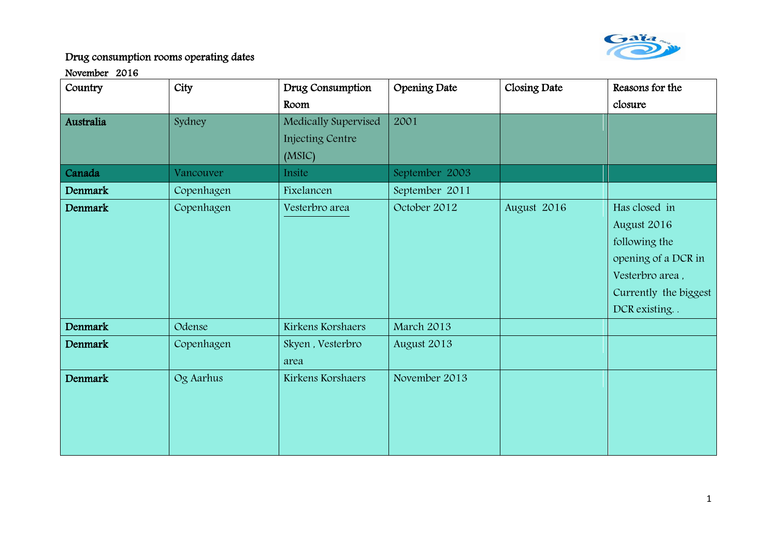

| Country        | City       | Drug Consumption        | Opening Date   | Closing Date | Reasons for the       |
|----------------|------------|-------------------------|----------------|--------------|-----------------------|
|                |            | Room                    |                |              | closure               |
| Australia      | Sydney     | Medically Supervised    | 2001           |              |                       |
|                |            | <b>Injecting Centre</b> |                |              |                       |
|                |            | (MSIC)                  |                |              |                       |
| Canada         | Vancouver  | Insite                  | September 2003 |              |                       |
| Denmark        | Copenhagen | Fixelancen              | September 2011 |              |                       |
| Denmark        | Copenhagen | Vesterbro area          | October 2012   | August 2016  | Has closed in         |
|                |            |                         |                |              | August 2016           |
|                |            |                         |                |              | following the         |
|                |            |                         |                |              | opening of a DCR in   |
|                |            |                         |                |              | Vesterbro area,       |
|                |            |                         |                |              | Currently the biggest |
|                |            |                         |                |              | DCR existing. .       |
| <b>Denmark</b> | Odense     | Kirkens Korshaers       | March 2013     |              |                       |
| <b>Denmark</b> | Copenhagen | Skyen, Vesterbro        | August 2013    |              |                       |
|                |            | area                    |                |              |                       |
| Denmark        | Og Aarhus  | Kirkens Korshaers       | November 2013  |              |                       |
|                |            |                         |                |              |                       |
|                |            |                         |                |              |                       |
|                |            |                         |                |              |                       |
|                |            |                         |                |              |                       |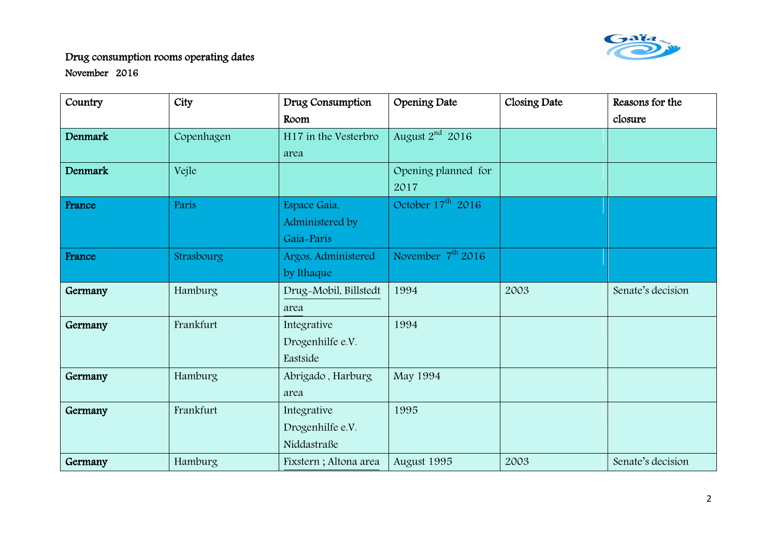

| Country | City       | Drug Consumption      | Opening Date         | Closing Date | Reasons for the   |
|---------|------------|-----------------------|----------------------|--------------|-------------------|
|         |            | Room                  |                      |              | closure           |
| Denmark | Copenhagen | H17 in the Vesterbro  | August $2^{nd}$ 2016 |              |                   |
|         |            | area                  |                      |              |                   |
| Denmark | Vejle      |                       | Opening planned for  |              |                   |
|         |            |                       | 2017                 |              |                   |
| France  | Paris      | Espace Gaia,          | October $17th$ 2016  |              |                   |
|         |            | Administered by       |                      |              |                   |
|         |            | Gaia-Paris            |                      |              |                   |
| France  | Strasbourg | Argos, Administered   | November $7th$ 2016  |              |                   |
|         |            | by Ithaque            |                      |              |                   |
|         |            |                       |                      |              |                   |
| Germany | Hamburg    | Drug-Mobil, Billstedt | 1994                 | 2003         | Senate's decision |
|         |            | area                  |                      |              |                   |
| Germany | Frankfurt  | Integrative           | 1994                 |              |                   |
|         |            | Drogenhilfe e.V.      |                      |              |                   |
|         |            | Eastside              |                      |              |                   |
| Germany | Hamburg    | Abrigado, Harburg     | May 1994             |              |                   |
|         |            | area                  |                      |              |                   |
| Germany | Frankfurt  | Integrative           | 1995                 |              |                   |
|         |            | Drogenhilfe e.V.      |                      |              |                   |
|         |            | Niddastraße           |                      |              |                   |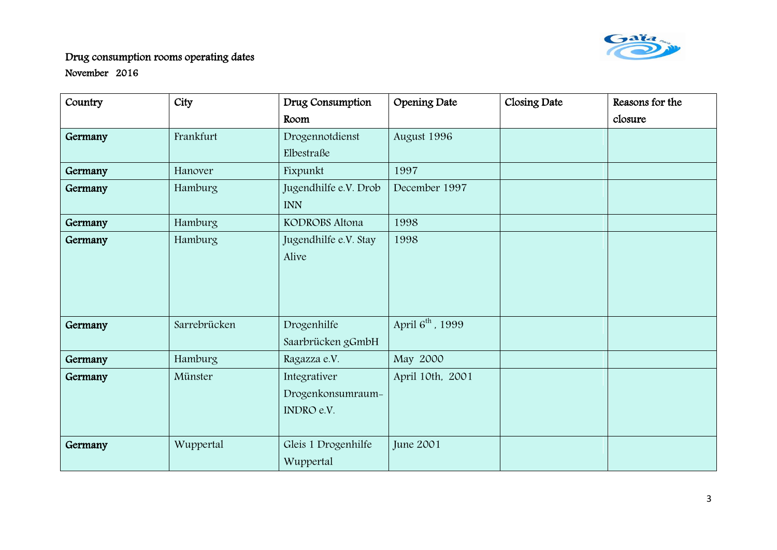

| Country | City         | Drug Consumption                                | Opening Date                 | Closing Date | Reasons for the |
|---------|--------------|-------------------------------------------------|------------------------------|--------------|-----------------|
|         |              | Room                                            |                              |              | closure         |
| Germany | Frankfurt    | Drogennotdienst                                 | August 1996                  |              |                 |
|         |              | Elbestraße                                      |                              |              |                 |
| Germany | Hanover      | Fixpunkt                                        | 1997                         |              |                 |
| Germany | Hamburg      | Jugendhilfe e.V. Drob<br><b>INN</b>             | December 1997                |              |                 |
| Germany | Hamburg      | KODROBS Altona                                  | 1998                         |              |                 |
| Germany | Hamburg      | Jugendhilfe e.V. Stay<br>Alive                  | 1998                         |              |                 |
| Germany | Sarrebrücken | Drogenhilfe<br>Saarbrücken gGmbH                | April 6 <sup>th</sup> , 1999 |              |                 |
| Germany | Hamburg      | Ragazza e.V.                                    | May 2000                     |              |                 |
| Germany | Münster      | Integrativer<br>Drogenkonsumraum-<br>INDRO e.V. | April 10th, 2001             |              |                 |
| Germany | Wuppertal    | Gleis 1 Drogenhilfe<br>Wuppertal                | <b>June 2001</b>             |              |                 |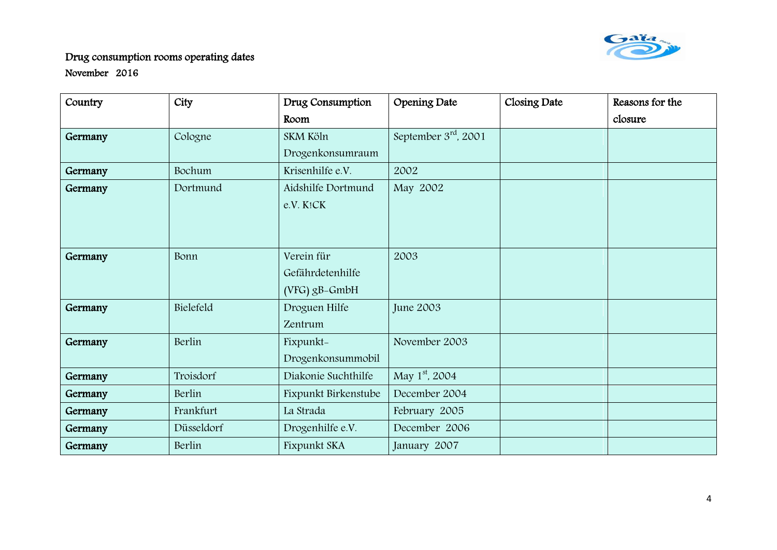

| Country | City       | Drug Consumption     | <b>Opening Date</b>        | Closing Date | Reasons for the |
|---------|------------|----------------------|----------------------------|--------------|-----------------|
|         |            | Room                 |                            |              | closure         |
| Germany | Cologne    | SKM Köln             | September $3rd$ , 2001     |              |                 |
|         |            | Drogenkonsumraum     |                            |              |                 |
| Germany | Bochum     | Krisenhilfe e.V.     | 2002                       |              |                 |
| Germany | Dortmund   | Aidshilfe Dortmund   | May 2002                   |              |                 |
|         |            | e.V. K!CK            |                            |              |                 |
|         |            |                      |                            |              |                 |
|         |            |                      |                            |              |                 |
| Germany | Bonn       | Verein für           | 2003                       |              |                 |
|         |            | Gefährdetenhilfe     |                            |              |                 |
|         |            | $(VFG)$ gB-GmbH      |                            |              |                 |
| Germany | Bielefeld  | Droguen Hilfe        | June 2003                  |              |                 |
|         |            | Zentrum              |                            |              |                 |
| Germany | Berlin     | Fixpunkt-            | November 2003              |              |                 |
|         |            | Drogenkonsummobil    |                            |              |                 |
| Germany | Troisdorf  | Diakonie Suchthilfe  | May 1 <sup>st</sup> , 2004 |              |                 |
| Germany | Berlin     | Fixpunkt Birkenstube | December 2004              |              |                 |
| Germany | Frankfurt  | La Strada            | February 2005              |              |                 |
| Germany | Düsseldorf | Drogenhilfe e.V.     | December 2006              |              |                 |
| Germany | Berlin     | Fixpunkt SKA         | January 2007               |              |                 |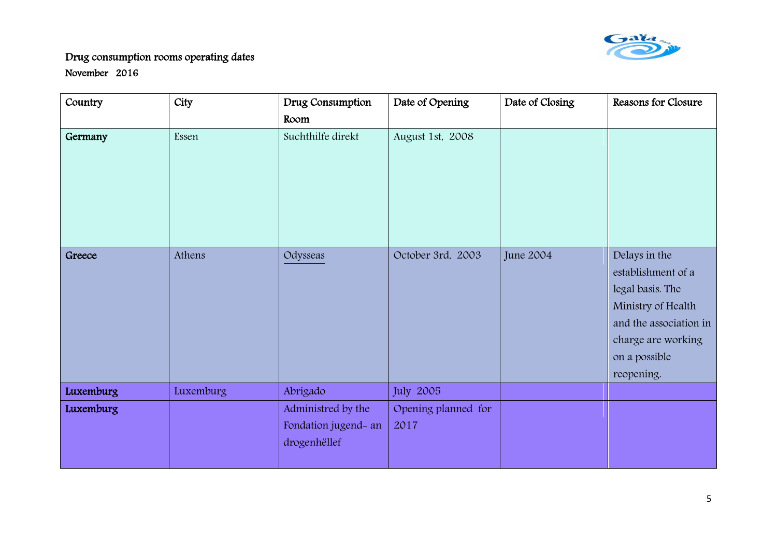

| Country   | City      | Drug Consumption     | Date of Opening     | Date of Closing  | Reasons for Closure    |
|-----------|-----------|----------------------|---------------------|------------------|------------------------|
|           |           | Room                 |                     |                  |                        |
| Germany   | Essen     | Suchthilfe direkt    | August 1st, 2008    |                  |                        |
|           |           |                      |                     |                  |                        |
|           |           |                      |                     |                  |                        |
|           |           |                      |                     |                  |                        |
|           |           |                      |                     |                  |                        |
|           |           |                      |                     |                  |                        |
| Greece    | Athens    | Odysseas             | October 3rd, 2003   | <b>June 2004</b> | Delays in the          |
|           |           |                      |                     |                  | establishment of a     |
|           |           |                      |                     |                  | legal basis. The       |
|           |           |                      |                     |                  | Ministry of Health     |
|           |           |                      |                     |                  | and the association in |
|           |           |                      |                     |                  | charge are working     |
|           |           |                      |                     |                  | on a possible          |
|           |           |                      |                     |                  | reopening.             |
| Luxemburg | Luxemburg | Abrigado             | July 2005           |                  |                        |
| Luxemburg |           | Administred by the   | Opening planned for |                  |                        |
|           |           | Fondation jugend- an | 2017                |                  |                        |
|           |           | drogenhëllef         |                     |                  |                        |
|           |           |                      |                     |                  |                        |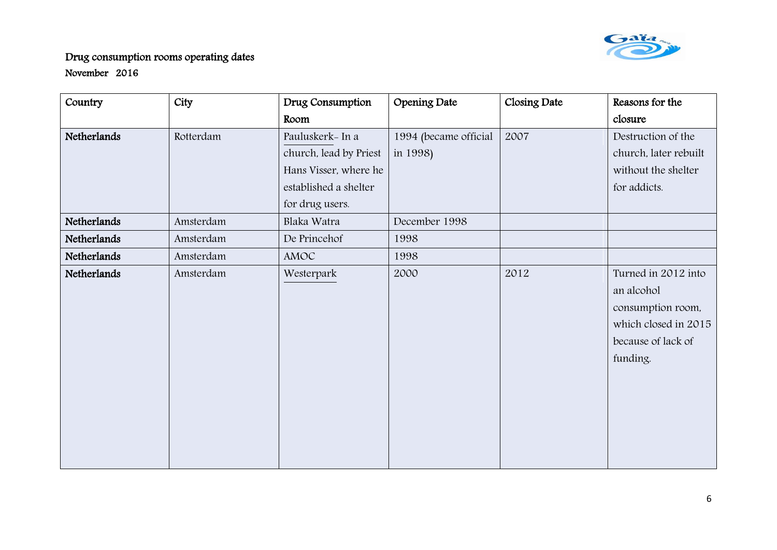

| Country     | City      | Drug Consumption       | Opening Date          | Closing Date | Reasons for the       |
|-------------|-----------|------------------------|-----------------------|--------------|-----------------------|
|             |           | Room                   |                       |              | closure               |
| Netherlands | Rotterdam | Pauluskerk- In a       | 1994 (became official | 2007         | Destruction of the    |
|             |           | church, lead by Priest | in 1998)              |              | church, later rebuilt |
|             |           | Hans Visser, where he  |                       |              | without the shelter   |
|             |           | established a shelter  |                       |              | for addicts.          |
|             |           | for drug users.        |                       |              |                       |
| Netherlands | Amsterdam | Blaka Watra            | December 1998         |              |                       |
| Netherlands | Amsterdam | De Princehof           | 1998                  |              |                       |
| Netherlands | Amsterdam | AMOC                   | 1998                  |              |                       |
| Netherlands | Amsterdam | Westerpark             | 2000                  | 2012         | Turned in 2012 into   |
|             |           |                        |                       |              | an alcohol            |
|             |           |                        |                       |              | consumption room,     |
|             |           |                        |                       |              | which closed in 2015  |
|             |           |                        |                       |              | because of lack of    |
|             |           |                        |                       |              | funding.              |
|             |           |                        |                       |              |                       |
|             |           |                        |                       |              |                       |
|             |           |                        |                       |              |                       |
|             |           |                        |                       |              |                       |
|             |           |                        |                       |              |                       |
|             |           |                        |                       |              |                       |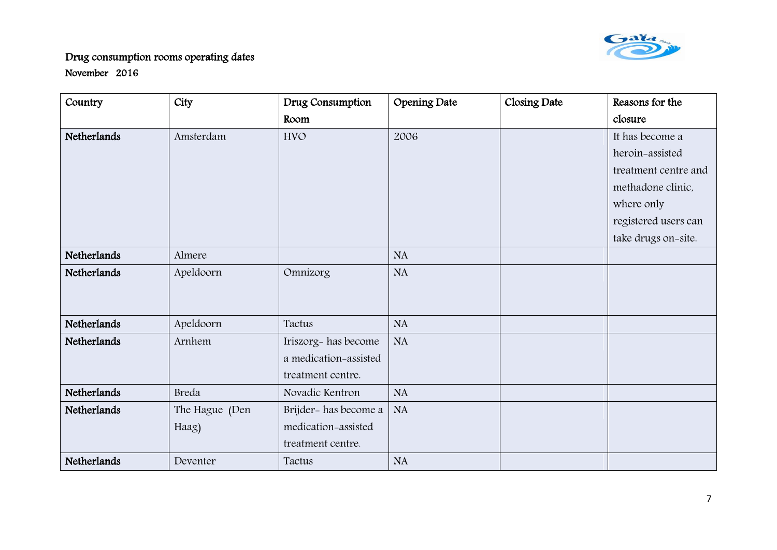

| Country     | City           | Drug Consumption      | <b>Opening Date</b> | Closing Date | Reasons for the      |
|-------------|----------------|-----------------------|---------------------|--------------|----------------------|
|             |                | Room                  |                     |              | closure              |
| Netherlands | Amsterdam      | <b>HVO</b>            | 2006                |              | It has become a      |
|             |                |                       |                     |              | heroin-assisted      |
|             |                |                       |                     |              | treatment centre and |
|             |                |                       |                     |              | methadone clinic,    |
|             |                |                       |                     |              | where only           |
|             |                |                       |                     |              | registered users can |
|             |                |                       |                     |              | take drugs on-site.  |
| Netherlands | Almere         |                       | <b>NA</b>           |              |                      |
| Netherlands | Apeldoorn      | Omnizorg              | NA                  |              |                      |
|             |                |                       |                     |              |                      |
|             |                |                       |                     |              |                      |
| Netherlands | Apeldoorn      | Tactus                | <b>NA</b>           |              |                      |
| Netherlands | Arnhem         | Iriszorg- has become  | NA                  |              |                      |
|             |                | a medication-assisted |                     |              |                      |
|             |                | treatment centre.     |                     |              |                      |
| Netherlands | Breda          | Novadic Kentron       | <b>NA</b>           |              |                      |
| Netherlands | The Hague (Den | Brijder- has become a | <b>NA</b>           |              |                      |
|             | Haag)          | medication-assisted   |                     |              |                      |
|             |                | treatment centre.     |                     |              |                      |
| Netherlands | Deventer       | Tactus                | <b>NA</b>           |              |                      |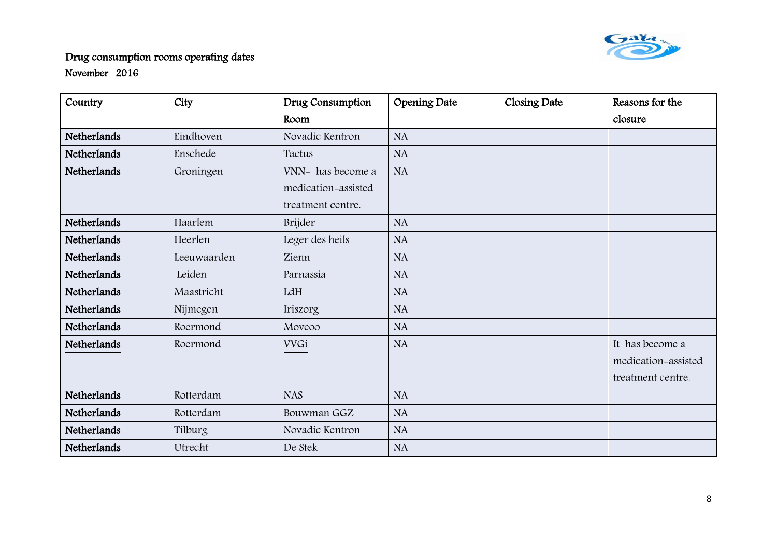

| Country            | City        | Drug Consumption    | <b>Opening Date</b> | Closing Date | Reasons for the     |
|--------------------|-------------|---------------------|---------------------|--------------|---------------------|
|                    |             | Room                |                     |              | closure             |
| Netherlands        | Eindhoven   | Novadic Kentron     | <b>NA</b>           |              |                     |
| Netherlands        | Enschede    | Tactus              | <b>NA</b>           |              |                     |
| Netherlands        | Groningen   | VNN- has become a   | <b>NA</b>           |              |                     |
|                    |             | medication-assisted |                     |              |                     |
|                    |             | treatment centre.   |                     |              |                     |
| Netherlands        | Haarlem     | Brijder             | <b>NA</b>           |              |                     |
| Netherlands        | Heerlen     | Leger des heils     | NA                  |              |                     |
| Netherlands        | Leeuwaarden | Zienn               | <b>NA</b>           |              |                     |
| Netherlands        | Leiden      | Parnassia           | <b>NA</b>           |              |                     |
| <b>Netherlands</b> | Maastricht  | LdH                 | <b>NA</b>           |              |                     |
| Netherlands        | Nijmegen    | Iriszorg            | <b>NA</b>           |              |                     |
| Netherlands        | Roermond    | Moveoo              | <b>NA</b>           |              |                     |
| Netherlands        | Roermond    | <b>VVGi</b>         | <b>NA</b>           |              | It has become a     |
|                    |             |                     |                     |              | medication-assisted |
|                    |             |                     |                     |              | treatment centre.   |
| <b>Netherlands</b> | Rotterdam   | <b>NAS</b>          | <b>NA</b>           |              |                     |
| Netherlands        | Rotterdam   | Bouwman GGZ         | <b>NA</b>           |              |                     |
| Netherlands        | Tilburg     | Novadic Kentron     | <b>NA</b>           |              |                     |
| Netherlands        | Utrecht     | De Stek             | <b>NA</b>           |              |                     |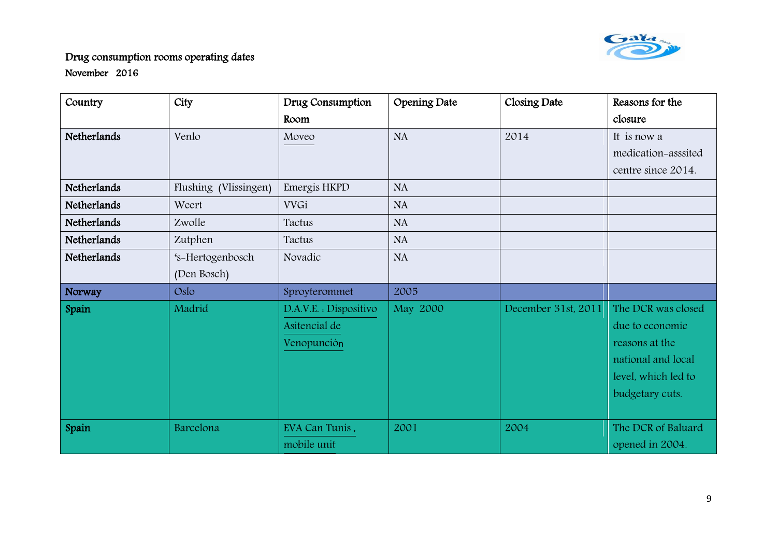

| Country     | City                  | Drug Consumption       | <b>Opening Date</b> | Closing Date        | Reasons for the     |
|-------------|-----------------------|------------------------|---------------------|---------------------|---------------------|
|             |                       | Room                   |                     |                     | closure             |
| Netherlands | Venlo                 | Moveo                  | <b>NA</b>           | 2014                | It is now a         |
|             |                       |                        |                     |                     | medication-asssited |
|             |                       |                        |                     |                     | centre since 2014.  |
| Netherlands | Flushing (Vlissingen) | Emergis HKPD           | <b>NA</b>           |                     |                     |
| Netherlands | Weert                 | <b>VVGi</b>            | <b>NA</b>           |                     |                     |
| Netherlands | Zwolle                | Tactus                 | <b>NA</b>           |                     |                     |
| Netherlands | Zutphen               | Tactus                 | <b>NA</b>           |                     |                     |
| Netherlands | 's-Hertogenbosch      | Novadic                | <b>NA</b>           |                     |                     |
|             | (Den Bosch)           |                        |                     |                     |                     |
| Norway      | Oslo                  | Sproyterommet          | 2005                |                     |                     |
| Spain       | Madrid                | D.A.V.E. : Dispositivo | May 2000            | December 31st, 2011 | The DCR was closed  |
|             |                       | Asitencial de          |                     |                     | due to economic     |
|             |                       | Venopunción            |                     |                     | reasons at the      |
|             |                       |                        |                     |                     | national and local  |
|             |                       |                        |                     |                     | level, which led to |
|             |                       |                        |                     |                     | budgetary cuts.     |
|             |                       |                        |                     |                     |                     |
| Spain       | Barcelona             | EVA Can Tunis,         | 2001                | 2004                | The DCR of Baluard  |
|             |                       | mobile unit            |                     |                     | opened in 2004.     |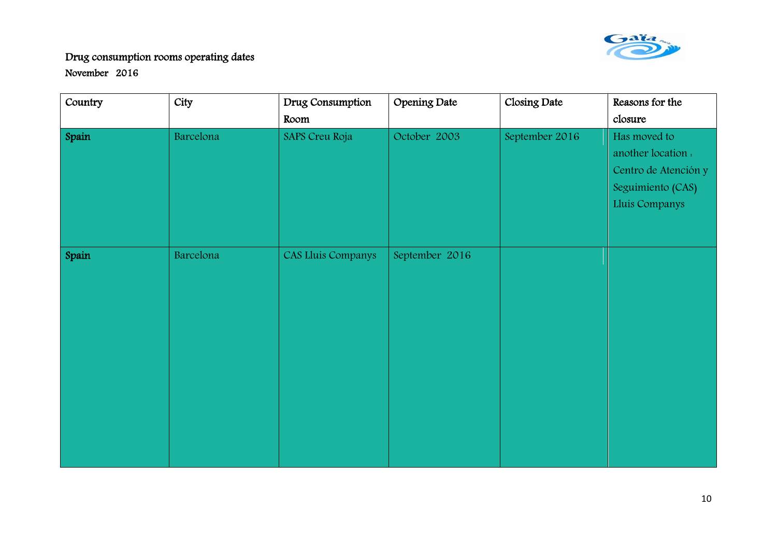

| Country | City      | Drug Consumption   | <b>Opening Date</b> | Closing Date   | Reasons for the      |
|---------|-----------|--------------------|---------------------|----------------|----------------------|
|         |           | Room               |                     |                | closure              |
| Spain   | Barcelona | SAPS Creu Roja     | October 2003        | September 2016 | Has moved to         |
|         |           |                    |                     |                | another location .   |
|         |           |                    |                     |                | Centro de Atención y |
|         |           |                    |                     |                | Seguimiento (CAS)    |
|         |           |                    |                     |                | Lluis Companys       |
|         |           |                    |                     |                |                      |
|         |           |                    |                     |                |                      |
| Spain   | Barcelona | CAS Lluis Companys | September 2016      |                |                      |
|         |           |                    |                     |                |                      |
|         |           |                    |                     |                |                      |
|         |           |                    |                     |                |                      |
|         |           |                    |                     |                |                      |
|         |           |                    |                     |                |                      |
|         |           |                    |                     |                |                      |
|         |           |                    |                     |                |                      |
|         |           |                    |                     |                |                      |
|         |           |                    |                     |                |                      |
|         |           |                    |                     |                |                      |
|         |           |                    |                     |                |                      |
|         |           |                    |                     |                |                      |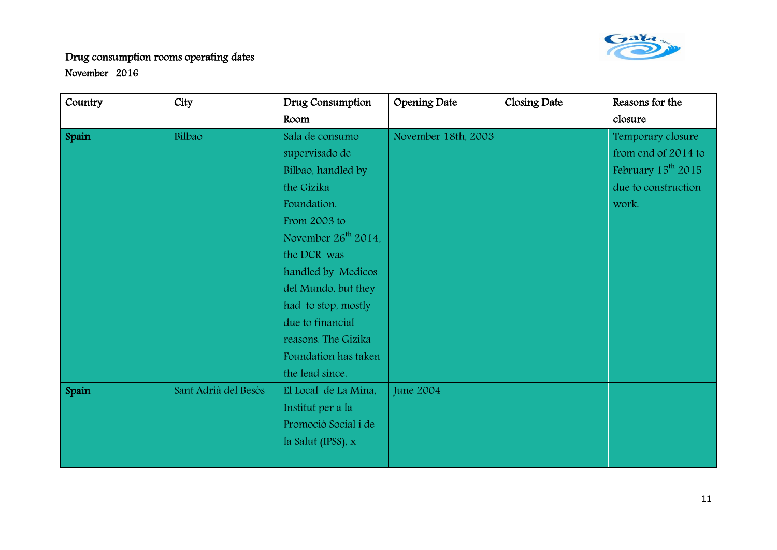

| Country | City                 | Drug Consumption                | Opening Date        | Closing Date | Reasons for the         |
|---------|----------------------|---------------------------------|---------------------|--------------|-------------------------|
|         |                      | Room                            |                     |              | closure                 |
| Spain   | Bilbao               | Sala de consumo                 | November 18th, 2003 |              | Temporary closure       |
|         |                      | supervisado de                  |                     |              | from end of 2014 to     |
|         |                      | Bilbao, handled by              |                     |              | February $15^{th}$ 2015 |
|         |                      | the Gizika                      |                     |              | due to construction     |
|         |                      | Foundation.                     |                     |              | work.                   |
|         |                      | From 2003 to                    |                     |              |                         |
|         |                      | November 26 <sup>th</sup> 2014, |                     |              |                         |
|         |                      | the DCR was                     |                     |              |                         |
|         |                      | handled by Medicos              |                     |              |                         |
|         |                      | del Mundo, but they             |                     |              |                         |
|         |                      | had to stop, mostly             |                     |              |                         |
|         |                      | due to financial                |                     |              |                         |
|         |                      | reasons. The Gizika             |                     |              |                         |
|         |                      | Foundation has taken            |                     |              |                         |
|         |                      | the lead since.                 |                     |              |                         |
| Spain   | Sant Adrià del Besòs | El Local de La Mina,            | <b>June 2004</b>    |              |                         |
|         |                      | Institut per a la               |                     |              |                         |
|         |                      | Promoció Social i de            |                     |              |                         |
|         |                      | la Salut (IPSS), x              |                     |              |                         |
|         |                      |                                 |                     |              |                         |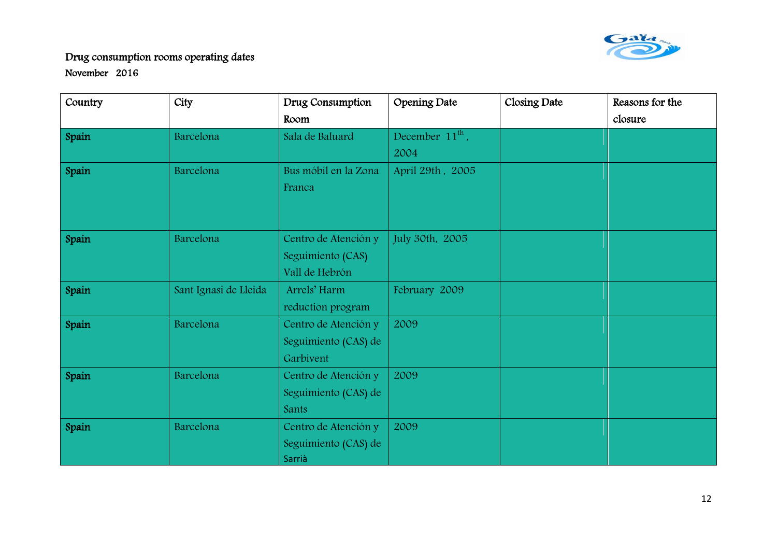

| Country | City                  | Drug Consumption     | <b>Opening Date</b>         | Closing Date | Reasons for the |
|---------|-----------------------|----------------------|-----------------------------|--------------|-----------------|
|         |                       | Room                 |                             |              | closure         |
| Spain   | Barcelona             | Sala de Baluard      | December 11 <sup>th</sup> , |              |                 |
|         |                       |                      | 2004                        |              |                 |
| Spain   | Barcelona             | Bus móbil en la Zona | April 29th, 2005            |              |                 |
|         |                       | Franca               |                             |              |                 |
|         |                       |                      |                             |              |                 |
|         |                       |                      |                             |              |                 |
| Spain   | Barcelona             | Centro de Atención y | July 30th, 2005             |              |                 |
|         |                       | Seguimiento (CAS)    |                             |              |                 |
|         |                       | Vall de Hebrón       |                             |              |                 |
| Spain   | Sant Ignasi de Lleida | Arrels' Harm         | February 2009               |              |                 |
|         |                       | reduction program    |                             |              |                 |
| Spain   | Barcelona             | Centro de Atención y | 2009                        |              |                 |
|         |                       | Seguimiento (CAS) de |                             |              |                 |
|         |                       | Garbivent            |                             |              |                 |
| Spain   | Barcelona             | Centro de Atención y | 2009                        |              |                 |
|         |                       | Seguimiento (CAS) de |                             |              |                 |
|         |                       | Sants                |                             |              |                 |
| Spain   | Barcelona             | Centro de Atención y | 2009                        |              |                 |
|         |                       | Seguimiento (CAS) de |                             |              |                 |
|         |                       | Sarrià               |                             |              |                 |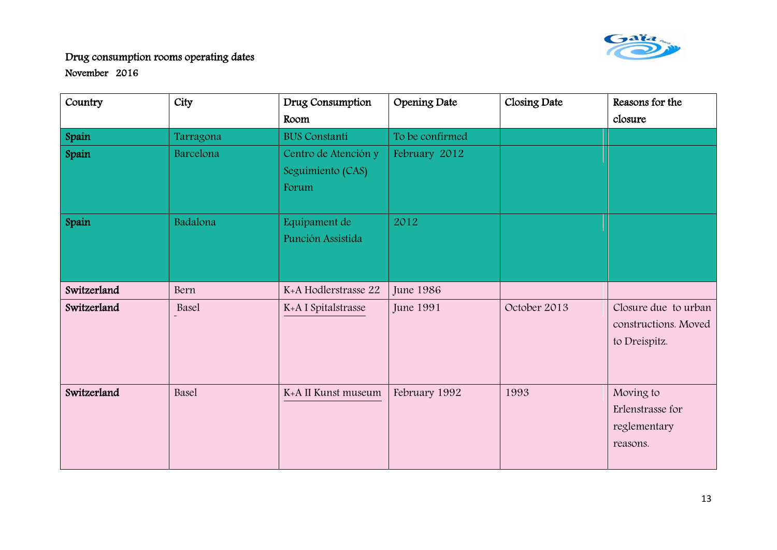

| Country     | City         | Drug Consumption     | Opening Date     | Closing Date | Reasons for the      |
|-------------|--------------|----------------------|------------------|--------------|----------------------|
|             |              | Room                 |                  |              | closure              |
| Spain       | Tarragona    | <b>BUS Constanti</b> | To be confirmed  |              |                      |
| Spain       | Barcelona    | Centro de Atención y | February 2012    |              |                      |
|             |              | Seguimiento (CAS)    |                  |              |                      |
|             |              | Forum                |                  |              |                      |
|             |              |                      |                  |              |                      |
| Spain       | Badalona     | Equipament de        | 2012             |              |                      |
|             |              | Punción Assistida    |                  |              |                      |
|             |              |                      |                  |              |                      |
|             |              |                      |                  |              |                      |
| Switzerland | Bern         | K+A Hodlerstrasse 22 | <b>June 1986</b> |              |                      |
| Switzerland | Basel        | K+A I Spitalstrasse  | <b>June 1991</b> | October 2013 | Closure due to urban |
|             |              |                      |                  |              | constructions. Moved |
|             |              |                      |                  |              | to Dreispitz.        |
|             |              |                      |                  |              |                      |
|             |              |                      |                  |              |                      |
| Switzerland | <b>Basel</b> | K+A II Kunst museum  | February 1992    | 1993         | Moving to            |
|             |              |                      |                  |              | Erlenstrasse for     |
|             |              |                      |                  |              | reglementary         |
|             |              |                      |                  |              | reasons.             |
|             |              |                      |                  |              |                      |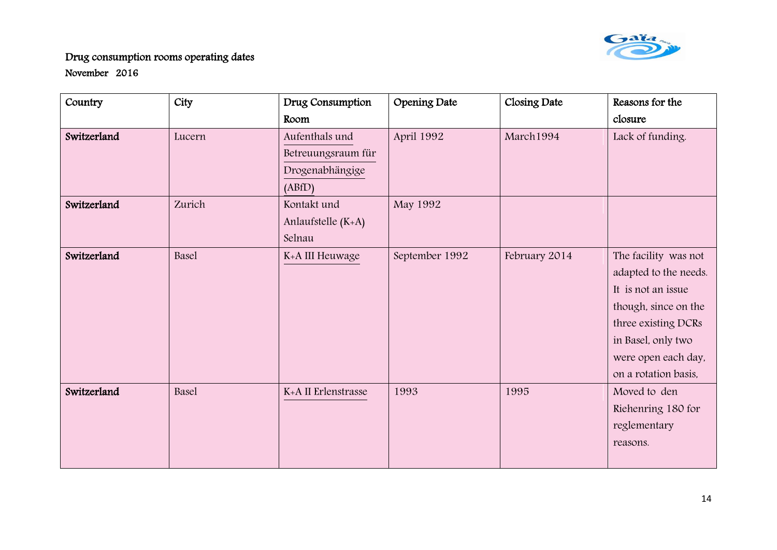

| Country     | City   | Drug Consumption    | Opening Date   | Closing Date  | Reasons for the       |
|-------------|--------|---------------------|----------------|---------------|-----------------------|
|             |        | Room                |                |               | closure               |
| Switzerland | Lucern | Aufenthals und      | April 1992     | March1994     | Lack of funding.      |
|             |        | Betreuungsraum für  |                |               |                       |
|             |        | Drogenabhängige     |                |               |                       |
|             |        | (ABfD)              |                |               |                       |
| Switzerland | Zurich | Kontakt und         | May 1992       |               |                       |
|             |        | Anlaufstelle (K+A)  |                |               |                       |
|             |        | Selnau              |                |               |                       |
| Switzerland | Basel  | K+A III Heuwage     | September 1992 | February 2014 | The facility was not  |
|             |        |                     |                |               | adapted to the needs. |
|             |        |                     |                |               | It is not an issue    |
|             |        |                     |                |               | though, since on the  |
|             |        |                     |                |               | three existing DCRs   |
|             |        |                     |                |               | in Basel, only two    |
|             |        |                     |                |               | were open each day,   |
|             |        |                     |                |               | on a rotation basis,  |
| Switzerland | Basel  | K+A II Erlenstrasse | 1993           | 1995          | Moved to den          |
|             |        |                     |                |               | Riehenring 180 for    |
|             |        |                     |                |               | reglementary          |
|             |        |                     |                |               | reasons.              |
|             |        |                     |                |               |                       |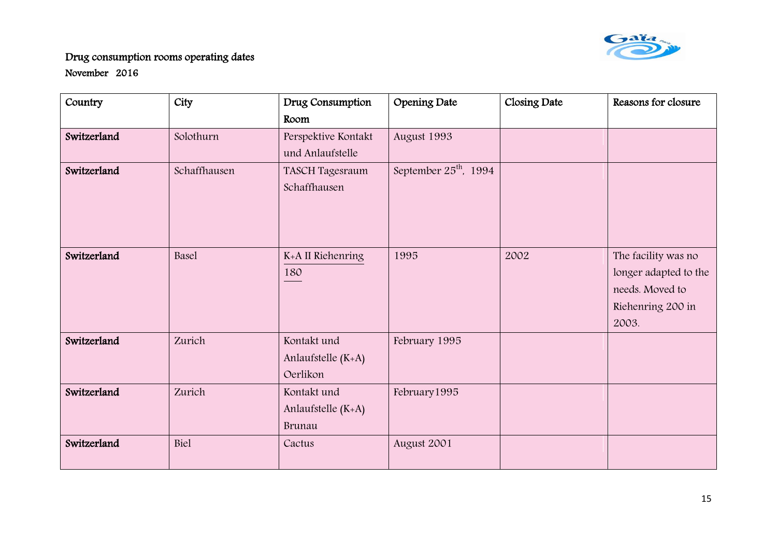

| Country     | City         | Drug Consumption    | <b>Opening Date</b>               | Closing Date | Reasons for closure   |
|-------------|--------------|---------------------|-----------------------------------|--------------|-----------------------|
|             |              | Room                |                                   |              |                       |
| Switzerland | Solothurn    | Perspektive Kontakt | August 1993                       |              |                       |
|             |              | und Anlaufstelle    |                                   |              |                       |
| Switzerland | Schaffhausen | TASCH Tagesraum     | September 25 <sup>th</sup> , 1994 |              |                       |
|             |              | Schaffhausen        |                                   |              |                       |
|             |              |                     |                                   |              |                       |
|             |              |                     |                                   |              |                       |
|             |              |                     |                                   |              |                       |
| Switzerland | Basel        | K+A II Riehenring   | 1995                              | 2002         | The facility was no   |
|             |              | 180                 |                                   |              | longer adapted to the |
|             |              |                     |                                   |              | needs. Moved to       |
|             |              |                     |                                   |              | Riehenring 200 in     |
|             |              |                     |                                   |              | 2003.                 |
| Switzerland | Zurich       | Kontakt und         | February 1995                     |              |                       |
|             |              | Anlaufstelle (K+A)  |                                   |              |                       |
|             |              | Oerlikon            |                                   |              |                       |
| Switzerland | Zurich       | Kontakt und         | February 1995                     |              |                       |
|             |              | Anlaufstelle (K+A)  |                                   |              |                       |
|             |              | Brunau              |                                   |              |                       |
| Switzerland | Biel         | Cactus              | August 2001                       |              |                       |
|             |              |                     |                                   |              |                       |